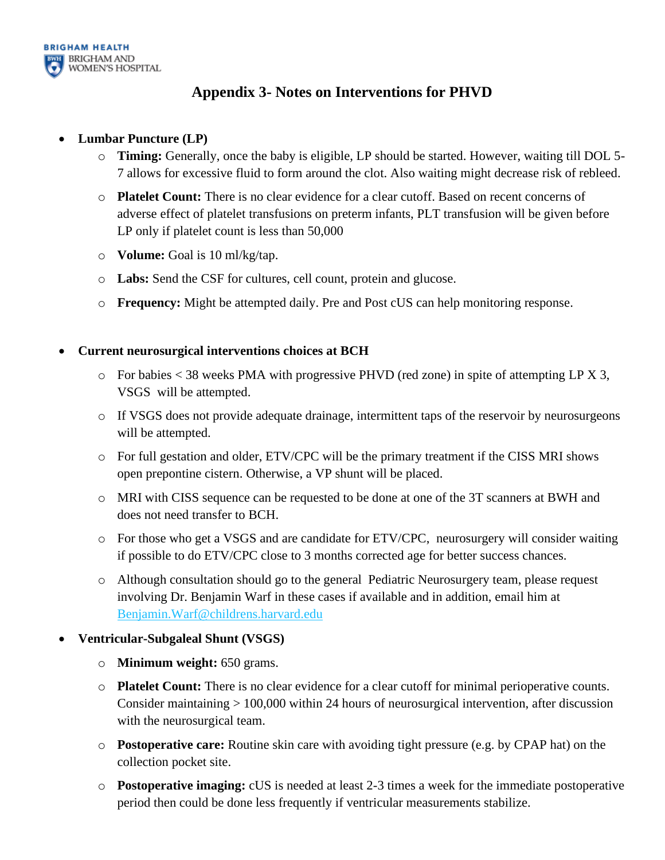

## **Appendix 3- Notes on Interventions for PHVD**

## • **Lumbar Puncture (LP)**

- o **Timing:** Generally, once the baby is eligible, LP should be started. However, waiting till DOL 5- 7 allows for excessive fluid to form around the clot. Also waiting might decrease risk of rebleed.
- o **Platelet Count:** There is no clear evidence for a clear cutoff. Based on recent concerns of adverse effect of platelet transfusions on preterm infants, PLT transfusion will be given before LP only if platelet count is less than 50,000
- o **Volume:** Goal is 10 ml/kg/tap.
- o **Labs:** Send the CSF for cultures, cell count, protein and glucose.
- o **Frequency:** Might be attempted daily. Pre and Post cUS can help monitoring response.

## • **Current neurosurgical interventions choices at BCH**

- $\circ$  For babies < 38 weeks PMA with progressive PHVD (red zone) in spite of attempting LP X 3, VSGS will be attempted.
- o If VSGS does not provide adequate drainage, intermittent taps of the reservoir by neurosurgeons will be attempted.
- o For full gestation and older, ETV/CPC will be the primary treatment if the CISS MRI shows open prepontine cistern. Otherwise, a VP shunt will be placed.
- o MRI with CISS sequence can be requested to be done at one of the 3T scanners at BWH and does not need transfer to BCH.
- o For those who get a VSGS and are candidate for ETV/CPC, neurosurgery will consider waiting if possible to do ETV/CPC close to 3 months corrected age for better success chances.
- o Although consultation should go to the general Pediatric Neurosurgery team, please request involving Dr. Benjamin Warf in these cases if available and in addition, email him at [Benjamin.Warf@childrens.harvard.edu](mailto:Benjamin.Warf@childrens.harvard.edu)

## • **Ventricular-Subgaleal Shunt (VSGS)**

- o **Minimum weight:** 650 grams.
- o **Platelet Count:** There is no clear evidence for a clear cutoff for minimal perioperative counts. Consider maintaining > 100,000 within 24 hours of neurosurgical intervention, after discussion with the neurosurgical team.
- o **Postoperative care:** Routine skin care with avoiding tight pressure (e.g. by CPAP hat) on the collection pocket site.
- o **Postoperative imaging:** cUS is needed at least 2-3 times a week for the immediate postoperative period then could be done less frequently if ventricular measurements stabilize.